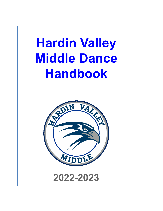# **Hardin Valley Middle Dance Handbook**

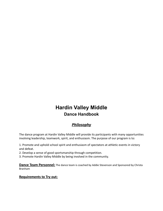## **Hardin Valley Middle Dance Handbook**

## *Philosophy*

The dance program at Hardin Valley Middle will provide its participants with many opportunities involving leadership, teamwork, spirit, and enthusiasm. The purpose of our program is to:

1. Promote and uphold school spirit and enthusiasm of spectators at athletic events in victory and defeat.

2. Develop a sense of good sportsmanship through competition.

3. Promote Hardin Valley Middle by being involved in the community.

**Dance Team Personnel:** The dance team is coached by Addie Stevenson and Sponsored by Christa Branham

#### **Requirements to Try out:**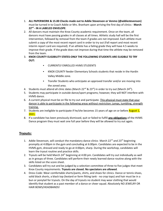- 1. **ALL PAPERWORK & 15.00 Checks made out to Addie Stevenson or Venmo (@addiestevenson)** must be turned in to Coach Addie or Mrs. Branham upon arriving the first day of clinics - **March 22 nd - IN A LABELED ENVELOPE**.
- 2. All dancers must maintain the Knox County academic requirement. Once on the team, all dancers must have passing grades in all classes at all times. Athletic study hall will be the first intervention, followed by removal from the team if grades are not improved. Each athlete must submit a copy of the most recent report card in order to try out (Fall report and most recent interim report card are required). If an athlete has a failing grade they will have 4.5 weeks to improve their grade. If the grade does not improve during that time the athlete may be removed from the team.
- 3. **KNOX COUNTY ELIGIBILITY STATES-ONLY THE FOLLOWING STUDENTS ARE ELIGIBLE TO TRY OUT:**
	- **CURRENTLY ENROLLED HVMS STUDENTS**
	- KNOX COUNTY feeder Elementary Schools students that reside in the Hardin Valley Middle zone.
	- Transfer Students who anticipate an approved transfer and/or are moving into the zoned area.
- 4. Students must attend all clinic dates (March 22<sup>nd</sup> & 23<sup>rd</sup>) in order to try out (March 24<sup>th</sup>).
- 5. Students may participate in outside dance/sport programs; however, they will NOT interfere with HVMS dance.
- 6. A current physical must be on file to try out and participate. This physical must state that your dancer is able to participate in the following areas without restriction: jumps, tumbling, strength training.
- 7. Students are ineligible to participate if he/she becomes 15 years of age on or before **August 1**, 2021.
- 8. If a candidate has been previously dismissed, quit or failed to fulfill **any obligations** of the HVMS Dance program they must wait one full year before they will be allowed to try out again.

#### **Tryouts:**

- 1. Addie Stevenson, will conduct the mandatory dance clinics March 22<sup>nd</sup> and 23<sup>rd</sup> beginning promptly at 4:00pm in the gym and concluding at 6:00pm. Candidates are expected to be in the HVMS gym, dressed and ready to go at 4:00pm, sharp. During the workshop, candidates will learn the tryout routine and practice skills.
- 2. Tryouts will be held March  $24<sup>th</sup>$  beginning at 4:00 pm. Candidates will try out individually as well as in groups of three. Candidates will perform their newly learned dance routine along with the skills listed on the score sheet.
- 3. Candidates will try out and be judged by a selection committee of three to five judges that meet Knox County requirements. **Tryouts are closed. No spectators are allowed**.
- 4. Dress Code: Wear comfortable shorts/pants, shirts, and shoes for clinics. Dance or tennis shoes, solid black shorts, a black top (leotard or form fitting tank - no crop tops) and hair must be in a bun or ponytail for tryouts. On the day of tryouts no student may wear clothing that would identify that student as a past member of a dance or cheer squad. Absolutely NO JEWELRY OR HAIR BOWS/HEADBANDS!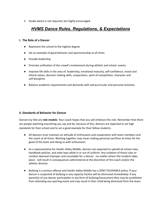5. Studio dance is not required, but highly encouraged.

## *HVMS Dance Rules, Regulations, & Expectations*

#### **I. The Role of a Dancer**

- Represent the school to the highest degree
- Set an example of good behavior and sportsmanship at all times
- Provide leadership
- Promote unification of the crowd's involvement during athletic and school events.
- Improve life skills in the area of: leadership, emotional maturity, self-confidence, moral and ethical values, decision making skills, cooperation, spirit of competition, character and self-discipline.
- Balance academic requirements and demands with extracurricular and personal activities.

#### **II. Standards of Behavior for Dancer**

Dancers by title are **role-models**. Your coach hopes that you will embrace this role. Remember that there are people watching everything you say and do, because of this, dancers are expected to set high standards for their school and to set a good example for their fellow students.

- All dancers must maintain an attitude of enthusiasm and cooperation with team members and the coach at all times. Working together may mean making personal sacrifices at times for the good of the team and doing so with enthusiasm.
- As a representative for Hardin Valley Middle, dancers are expected to uphold all school rules, handbook policies, and state laws while in or out of uniform. Any violation of these rules or conduct deemed improper and unsuitable for a dancer - no matter where the incident takes place - will result in consequences administered at the discretion of the coach and/or the athletic director.
- Bullying is a serious offense and Hardin Valley Middle has a ZERO TOLERANCE policy. If your dancer is suspected of bullying in any capacity he/she will be dismissed immediately. If any parent(s) of any dancer participates in any form of bullying/harassment they may be prohibited from attending any sporting event and may result in their child being dismissed from the team.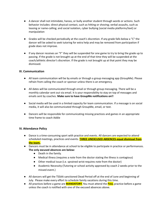- A dancer shall not intimidate, harass, or bully another student through words or actions. Such behavior includes: direct physical contact, such as hitting or shoving; verbal assaults, such as teasing or name-calling; and social isolation, cyber bullying (social media platforms/text) or manipulation
- Grades will be checked periodically at the coach's discretion. If any grade falls below a "C" the dancer will be asked to seek tutoring for extra help and may be removed from participation if grade does not improve.
- If any dancer receives an "F" they will be suspended for one game to try to bring the grade up to passing. If the grade is not brought up at the end of that time they will be suspended at the coach/athletic director's discretion. If the grade is not brought up at that point they may be dismissed.

#### **III. Communication**

- All team communication will be by emails or through a group messaging app (GroupMe). Please refrain from calling the coach or sponsor unless there is an emergency.
- All dates will be communicated through email or through group messaging. There will be a monthly calendar sent out via email. It is your responsibility to stay on top of messages and emails sent by coaches. **Make sure to have GroupMe notifications on!!**
- Social media will be used in a limited capacity for team communication. If a message is on social media, it will also be communicated through GroupMe, email, or text.
- Dancers will be responsible for communicating missing practices and games in an appropriate time frame to coach Addie

#### **IV. Attendance Policy**

- Dance is a time-consuming sport with practice and events. All dancers are expected to attend scheduled meetings, practices and events. **THREE UNEXCUSED ABSENCES equal dismissal from the team.**
- **●** Dancers must be in attendance at school to be eligible to participate in practice or performances. **The only excused absences are below:**
	- **●** Death in the family.
	- **●** Medical illness (requires a note from the doctor stating the illness is contagious)
	- **●** Other medical issue (i.e. sprained wrist-requires note from the doctor)
	- **●** Academic Necessity-(Tutoring or school activity approved by coach 2 weeks prior to the missed event.)
- All dancers will get the TSSAA sanctioned Dead Period off at the end of June and beginning of July. Please make every effort to schedule family vacations during this time.
- All practices before a game are **MANDATORY.** You must attend the **FULL** practice before a game unless the coach is notified with one of the excused absences above.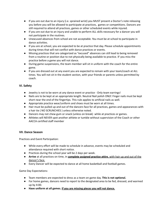- If you are out due to an injury (i.e. sprained wrist) you MUST present a Doctor's note releasing you before you will be allowed to participate at practices, games or competitions. Dancers are still required to attend all practices, games or other scheduled events while injured.
- If you are out due to an injury and unable to perform ALL skills necessary for a dancer you will not participate in the routines.
- Unexcused absences from school are not acceptable. You must be at school to participate in dance activities.
- If you are at school, you are expected to be at practice that day. Please schedule appointments during times that will not conflict with dance practices or events.
- Missing practices that are categorized as "excused" absences can still lead to being removed from a routine or position due to not physically being available to practice. IF you miss the practice before a game you will not dance.
- During game suspensions, the team member will sit in uniform with the coach for the entire game.
- If you are dressed out at any event you are expected to remain with your team/coach at ALL times. You will not sit in the student section, with your friends or parents unless permitted by coach.

#### **VI. Safety**

- Jewelry is not to be worn at any dance event or practice Only team earrings!
- Nails are to be kept at an appropriate length. Neutral Nail polish ONLY. Finger nails must be kept short near the end of the fingertips. This rule applies to artificial nails as well.
- Appropriate practice wear/uniform and shoes must be worn at all times.
- Hair must be pulled up and out of the dancers face for all practices, games and appearances with a hair tie ( NO SCRUNCHIES ) unless otherwise noted.
- Dancers may not chew gum or snack (unless on break) while at practices or games.
- Athletes will NEVER spot another athlete or tumble without supervision of the Coach or other AACCA certified staff member

#### **VII. Dance Season**

Practices and Event Participation:

- While every effort will be made to schedule in advance, events may be scheduled and attendance required with short notice.
- Practices during the school year will be 2 days per week.
- **Arrive** at all practices on time, in **complete assigned practice attire**, with hair up and out of the dancer's face.
- Every Dancer will be expected to dance at all home basketball and football games.

Game Day Expectations:

- Team members are expected to dress as a team on game day. **This is not optional.**
- For home games, dancers need to report to the designated area to be fed, dressed, and warmed up by 4:00.
- **● Have uniform at all games. If you are missing pieces you will not dance.**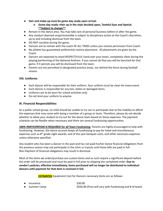- **● Hair and make-up must be game day ready upon arrival.**
	- **o Game day ready =Hair up in the style decided upon, Tasteful Eyes and lipstick. \*\*Subject to change\*\***
- Remain in the dance area. You may take care of personal business before or after the game.
- Any conduct deemed unsportsmanlike is subject to disciplinary action at the Coach's discretion, up to and including dismissal from the team.
- DO NOT socialize during the game.
- Dancers are to remain with the coach AT ALL TIMES unless you receive permission from Coach.
- No athlete has guaranteed preferential routine placement. All placements are given by the Coach.
- Dancers are expected to stand RESPECTFULLY, hand over your heart, completely silent during the playing/performing of the National Anthem. If you cannot do that you will be benched for that game. If it persists you will be dismissed from the team.
- Parents are not permitted in designated practice areas, nor behind the fence during football season.

#### **VIII. Uniforms**

- Each dancer will be responsible for their uniform. Your uniform must be clean for every event.
- Each dancer is responsible for any lost, stolen or damaged items.
- Uniforms are to be worn for school activities only.
- Do not lend your uniform to anyone.

#### **IX. Financial Responsibilities**

As a public-school group, no child should be unable to try out or participate due to the inability to afford the expenses that may come with being a member of a group or team. Therefore, please do not decide whether to allow your student to try out for the dance team based on these expenses. The payment schedule can be flexible when necessary and there are several fundraising opportunities.

**100% PARTICIPATION IS REQUIRED for all Team Fundraising**. Parents are highly encouraged to help with fundraising. However, the dance account keeps all fundraising to pay for listed and miscellaneous expenses such as 8<sup>th</sup> grade night awards, end of the year banquet costs, and other necessary expenses unless otherwise specified.

Any student who has been a dancer in the past and has not paid his/her dance financial obligations from the previous season may not participate in the clinic or tryouts until these bills are paid in full. Non-Payment of financial obligations may result in dismissal.

Most of the items we order/purchase are custom items and as such require a significant deposit before the order will be processed and must be paid in full prior to shipping the completed order. **Due to vendor's policies, effective immediately, items purchased will no longer be distributed to individual dancers until payment for that item is received in full.**

**ESTIMATED** Equipment Cost for Dancers necessary items are as follows:

| $\bullet$ Insurance | \$30.00                                                   |
|---------------------|-----------------------------------------------------------|
| • Summer Camp       | \$450.00 (Price will vary with fundraising and # of team) |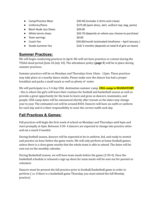- Camp/Practice Wear <br>
\$30-40 (includes 3 shirts and a bow)
- 
- Bloch Nude Jazz Shoes \$49.00
- 
- Team earrings <br>● S8.00
- 
- 
- Uniforms/Poms based to the state of the state state of the state state of the state of the state state state of the state of the state of the state of the state of the state of the state of the state of the state of the
	-
- White tennis shoes **\$50-70** (depends on where you choose to purchase)
- Coach Fee \$50.00/month (estimated timeframe April-January )
- Studio Summer Fee Studio Summer Fee Studio Summer Fee Studio 3 months (depends on total # of girls on team)

### **Summer Practices:**

We will begin conducting practices in April. We will not have practices or contact during the TSSAA dead period (June 26-July 10). The attendance policy (**page 5**) will be in place during summer practices.

Summer practices will be on Mondays and Thursdays from 10am - 12pm. These practices may take place at a nearby dance studio. Please make sure the dancer has had a proper breakfast and packs a small snack as well as plenty of water.

We will participate in a 3-4 day UDA destination summer camp. **UDA camp is MANDATORY** - this is where the girls will learn their routines for football and basketball season as well as provide a great opportunity for the team to learn and grow as dancers, teammates, and people. UDA camp dates will be announced shortly after tryouts as the dates may change year to year. The estimated cost will be around \$450. Dancers will have an outfit or uniform for each day and it is their responsibility to wear the correct outfit each day.

## **Fall Practices & Games:**

Fall practices will begin the first week of school on Mondays and Thursdays until 6pm and start promptly at 4pm. Between 3:30- 4 dancers are expected to change into practice attire and eat a snack if needed.

During football season, dancers will be expected to be in uniform, fed, and ready to stretch and practice an hour before the game starts. We will only perform at home football games, unless there is a close game nearby that the whole team is able to attend. The dates will be sent out on the monthly calendar.

During Basketball season, we will have team meals before the game (3:30-4). Once the basketball schedule is released a sign up sheet for team meals will be sent out for parents to volunteer.

Dancers must be present the full practice prior to football/basketball game in order to perform ( i.e. if there is a basketball game Thursday, you must attend the full Monday practice)